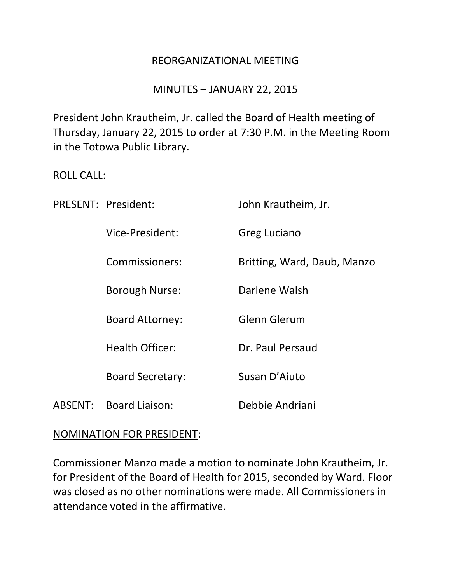#### REORGANIZATIONAL MEETING

#### MINUTES – JANUARY 22, 2015

President John Krautheim, Jr. called the Board of Health meeting of Thursday, January 22, 2015 to order at 7:30 P.M. in the Meeting Room in the Totowa Public Library.

#### ROLL CALL:

|         | PRESENT: President:     | John Krautheim, Jr.         |
|---------|-------------------------|-----------------------------|
|         | Vice-President:         | Greg Luciano                |
|         | Commissioners:          | Britting, Ward, Daub, Manzo |
|         | <b>Borough Nurse:</b>   | Darlene Walsh               |
|         | <b>Board Attorney:</b>  | <b>Glenn Glerum</b>         |
|         | <b>Health Officer:</b>  | Dr. Paul Persaud            |
|         | <b>Board Secretary:</b> | Susan D'Aiuto               |
| ABSENT: | <b>Board Liaison:</b>   | Debbie Andriani             |

#### NOMINATION FOR PRESIDENT:

Commissioner Manzo made a motion to nominate John Krautheim, Jr. for President of the Board of Health for 2015, seconded by Ward. Floor was closed as no other nominations were made. All Commissioners in attendance voted in the affirmative.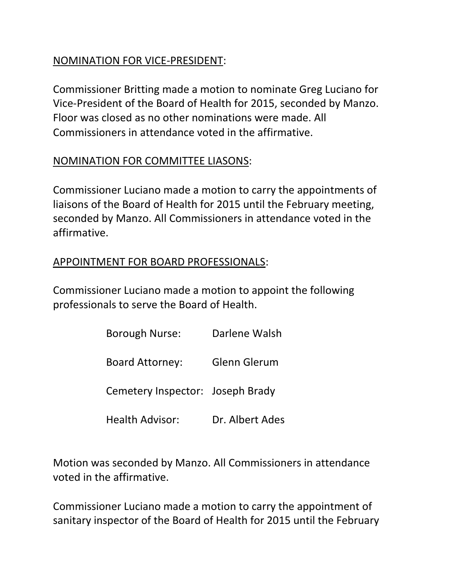### NOMINATION FOR VICE-PRESIDENT:

Commissioner Britting made a motion to nominate Greg Luciano for Vice-President of the Board of Health for 2015, seconded by Manzo. Floor was closed as no other nominations were made. All Commissioners in attendance voted in the affirmative.

# NOMINATION FOR COMMITTEE LIASONS:

Commissioner Luciano made a motion to carry the appointments of liaisons of the Board of Health for 2015 until the February meeting, seconded by Manzo. All Commissioners in attendance voted in the affirmative.

# APPOINTMENT FOR BOARD PROFESSIONALS:

Commissioner Luciano made a motion to appoint the following professionals to serve the Board of Health.

| <b>Borough Nurse:</b>            | Darlene Walsh       |
|----------------------------------|---------------------|
| <b>Board Attorney:</b>           | <b>Glenn Glerum</b> |
| Cemetery Inspector: Joseph Brady |                     |
| <b>Health Advisor:</b>           | Dr. Albert Ades     |

Motion was seconded by Manzo. All Commissioners in attendance voted in the affirmative.

Commissioner Luciano made a motion to carry the appointment of sanitary inspector of the Board of Health for 2015 until the February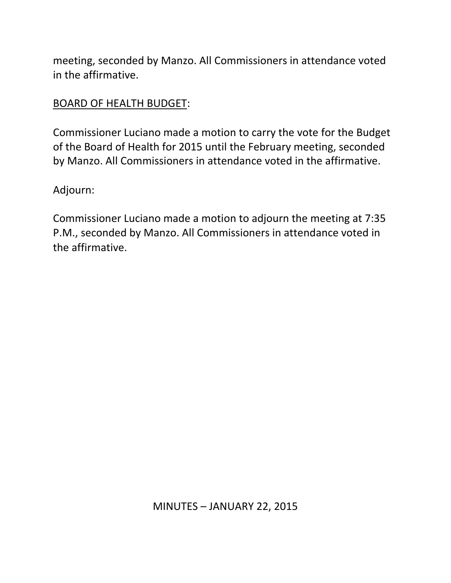meeting, seconded by Manzo. All Commissioners in attendance voted in the affirmative.

### BOARD OF HEALTH BUDGET:

Commissioner Luciano made a motion to carry the vote for the Budget of the Board of Health for 2015 until the February meeting, seconded by Manzo. All Commissioners in attendance voted in the affirmative.

Adjourn:

Commissioner Luciano made a motion to adjourn the meeting at 7:35 P.M., seconded by Manzo. All Commissioners in attendance voted in the affirmative.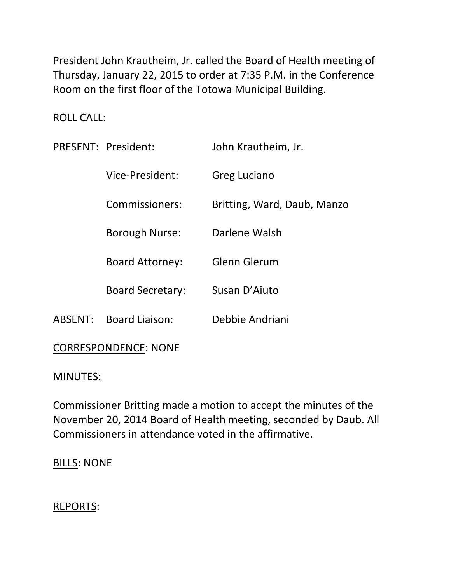President John Krautheim, Jr. called the Board of Health meeting of Thursday, January 22, 2015 to order at 7:35 P.M. in the Conference Room on the first floor of the Totowa Municipal Building.

ROLL CALL:

|                             | PRESENT: President:     | John Krautheim, Jr.         |  |
|-----------------------------|-------------------------|-----------------------------|--|
|                             | Vice-President:         | Greg Luciano                |  |
|                             | Commissioners:          | Britting, Ward, Daub, Manzo |  |
|                             | <b>Borough Nurse:</b>   | Darlene Walsh               |  |
|                             | <b>Board Attorney:</b>  | Glenn Glerum                |  |
|                             | <b>Board Secretary:</b> | Susan D'Aiuto               |  |
| ABSENT:                     | <b>Board Liaison:</b>   | Debbie Andriani             |  |
| <b>CORRESPONDENCE: NONE</b> |                         |                             |  |

# MINUTES:

Commissioner Britting made a motion to accept the minutes of the November 20, 2014 Board of Health meeting, seconded by Daub. All Commissioners in attendance voted in the affirmative.

BILLS: NONE

# REPORTS: